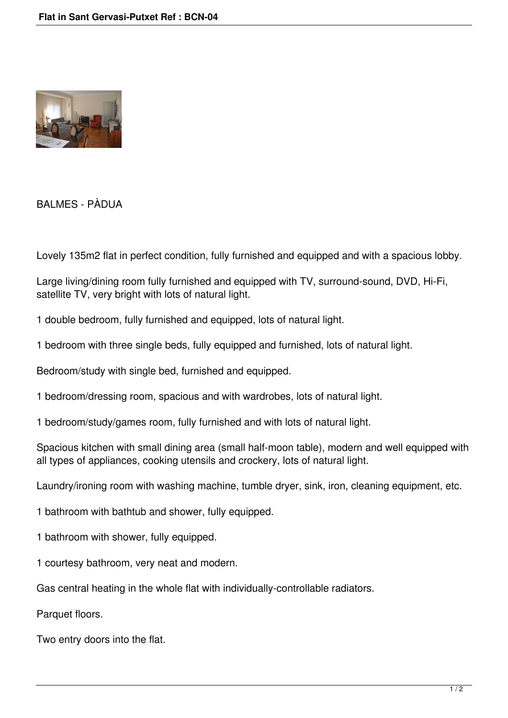

BALMES - PÀDUA

Lovely 135m2 flat in perfect condition, fully furnished and equipped and with a spacious lobby.

Large living/dining room fully furnished and equipped with TV, surround-sound, DVD, Hi-Fi, satellite TV, very bright with lots of natural light.

1 double bedroom, fully furnished and equipped, lots of natural light.

1 bedroom with three single beds, fully equipped and furnished, lots of natural light.

Bedroom/study with single bed, furnished and equipped.

1 bedroom/dressing room, spacious and with wardrobes, lots of natural light.

1 bedroom/study/games room, fully furnished and with lots of natural light.

Spacious kitchen with small dining area (small half-moon table), modern and well equipped with all types of appliances, cooking utensils and crockery, lots of natural light.

Laundry/ironing room with washing machine, tumble dryer, sink, iron, cleaning equipment, etc.

1 bathroom with bathtub and shower, fully equipped.

1 bathroom with shower, fully equipped.

1 courtesy bathroom, very neat and modern.

Gas central heating in the whole flat with individually-controllable radiators.

Parquet floors.

Two entry doors into the flat.